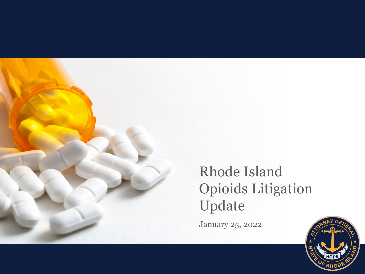

#### Rhode Island Opioids Litigation Update

January 25, 2022

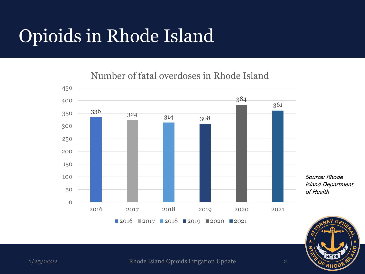### Opioids in Rhode Island

Number of fatal overdoses in Rhode Island



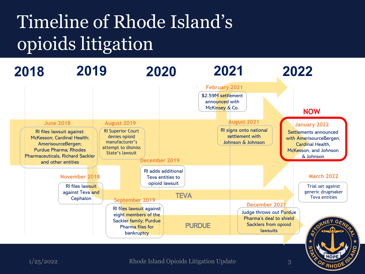## Timeline of Rhode Island's opioids litigation

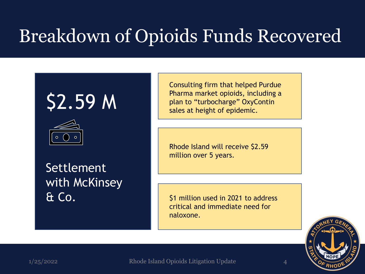# \$2.59 M



Settlement with McKinsey & Co.

Consulting firm that helped Purdue Pharma market opioids, including a plan to "turbocharge" OxyContin sales at height of epidemic.

Rhode Island will receive \$2.59 million over 5 years.

\$1 million used in 2021 to address critical and immediate need for naloxone.



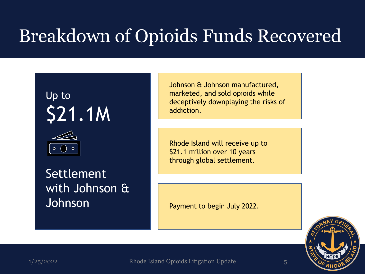



Settlement with Johnson & Johnson

Johnson & Johnson manufactured, marketed, and sold opioids while deceptively downplaying the risks of addiction.

Rhode Island will receive up to \$21.1 million over 10 years through global settlement.

Payment to begin July 2022.

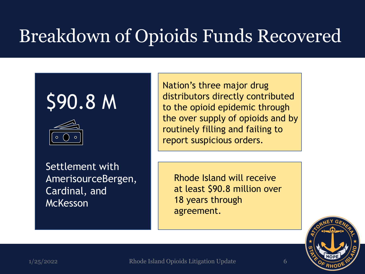# \$90.8 M



Settlement with AmerisourceBergen, Cardinal, and **McKesson** 

Nation's three major drug distributors directly contributed to the opioid epidemic through the over supply of opioids and by routinely filling and failing to report suspicious orders.

Rhode Island will receive at least \$90.8 million over 18 years through agreement.

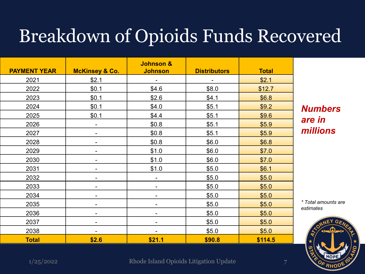| <b>PAYMENT YEAR</b> | <b>McKinsey &amp; Co.</b> | Johnson &<br><b>Johnson</b> | <b>Distributors</b> | <b>Total</b> |
|---------------------|---------------------------|-----------------------------|---------------------|--------------|
|                     |                           |                             |                     |              |
| 2021                | \$2.1                     |                             |                     | \$2.1        |
| 2022                | \$0.1                     | \$4.6                       | \$8.0               | \$12.7       |
| 2023                | \$0.1                     | \$2.6                       | \$4.1               | \$6.8        |
| 2024                | \$0.1                     | \$4.0                       | \$5.1               | \$9.2        |
| 2025                | \$0.1                     | \$4.4                       | \$5.1               | \$9.6        |
| 2026                | -                         | \$0.8                       | \$5.1               | \$5.9        |
| 2027                | -                         | \$0.8                       | \$5.1               | \$5.9        |
| 2028                | -                         | \$0.8                       | \$6.0               | \$6.8        |
| 2029                | -                         | \$1.0                       | \$6.0               | \$7.0        |
| 2030                | -                         | \$1.0                       | \$6.0               | \$7.0        |
| 2031                | -                         | \$1.0                       | \$5.0               | \$6.1        |
| 2032                |                           |                             | \$5.0               | \$5.0        |
| 2033                |                           |                             | \$5.0               | \$5.0        |
| 2034                |                           |                             | \$5.0               | \$5.0        |
| 2035                | -                         | $\blacksquare$              | \$5.0               | \$5.0        |
| 2036                | -                         | -                           | \$5.0               | \$5.0        |
| 2037                | -                         |                             | \$5.0               | \$5.0        |
| 2038                | -                         | -                           | \$5.0               | \$5.0        |
| <b>Total</b>        | \$2.6                     | \$21.1                      | \$90.8              | \$114.5      |

*Numbers are in millions*

*\* Total amounts are estimates*

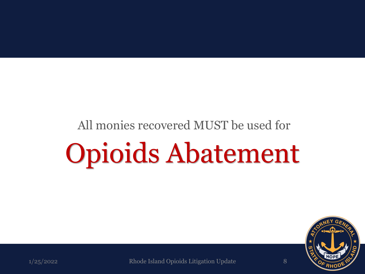# All monies recovered MUST be used for Opioids Abatement

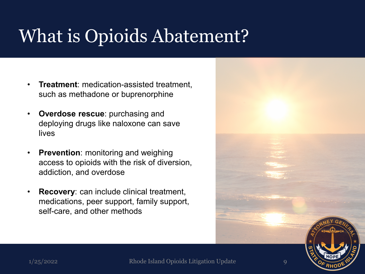### What is Opioids Abatement?

- **Treatment**: medication-assisted treatment, such as methadone or buprenorphine
- **Overdose rescue**: purchasing and deploying drugs like naloxone can save lives
- **Prevention**: monitoring and weighing access to opioids with the risk of diversion, addiction, and overdose
- **Recovery:** can include clinical treatment, medications, peer support, family support, self-care, and other methods

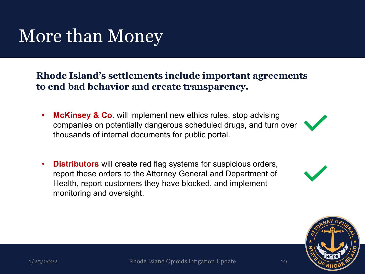#### More than Money

**Rhode Island's settlements include important agreements to end bad behavior and create transparency.**

- **McKinsey & Co.** will implement new ethics rules, stop advising companies on potentially dangerous scheduled drugs, and turn over thousands of internal documents for public portal.
- **Distributors** will create red flag systems for suspicious orders, report these orders to the Attorney General and Department of Health, report customers they have blocked, and implement monitoring and oversight.



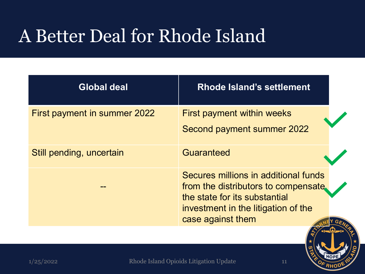### A Better Deal for Rhode Island

| <b>Global deal</b>           | <b>Rhode Island's settlement</b>                                                                                                                                          |  |
|------------------------------|---------------------------------------------------------------------------------------------------------------------------------------------------------------------------|--|
| First payment in summer 2022 | <b>First payment within weeks</b><br>Second payment summer 2022                                                                                                           |  |
| Still pending, uncertain     | Guaranteed                                                                                                                                                                |  |
|                              | Secures millions in additional funds<br>from the distributors to compensate.<br>the state for its substantial<br>investment in the litigation of the<br>case against them |  |

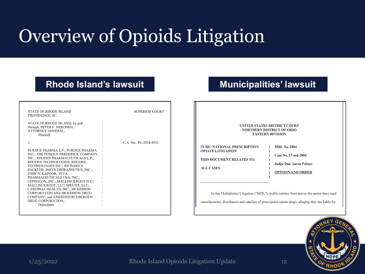## Overview of Opioids Litigation

#### **Rhode Island's lawsuit Municipalities' lawsuit**

| STATE OF RHODE ISLAND<br>PROVIDENCE, SC.                                  | <b>SUPERIOR COURT</b> |
|---------------------------------------------------------------------------|-----------------------|
| STATE OF RHODE ISLAND, by and<br>through, PETER F. NERONHA,               |                       |
| ATTORNEY GENERAL,<br>Plaintiff                                            |                       |
|                                                                           |                       |
| v.                                                                        | C.A. No. PC-2018-4555 |
| PURDUE PHARMA L.P.; PURDUE PHARMA                                         |                       |
| INC.: THE PURDUE FREDERICK COMPANY,<br>INC.; RHODES PHARMACEUTICALS L.P.; |                       |
| RHODES TECHNOLOGIES; RHODES<br>TECHNOLOGIES INC.; RICHARD S.              |                       |
| SACKLER; INSYS THERAPEUTICS, INC.;                                        |                       |
| JOHN N. KAPOOR; TEVA<br>PHARMACEUTICALS USA, INC.:                        |                       |
| CEPHALON, INC.; MALLINCKRODT PLC;                                         |                       |
| MALLINCKRODT, LLC, SPECGX, LLC,<br>CARDINAL HEALTH, INC.; MCKESSON        |                       |
| CORPORATION d/b/a MCKESSON DRUG<br>COMPANY; and AMERISOURCEBERGEN         |                       |
| DRUG CORPORATION,                                                         |                       |
| Defendants                                                                |                       |

#### **UNITED STATES DISTRICT COURT NORTHERN DISTRICT OF OHIO EASTERN DIVISION** IN RE: NATIONAL PRESCRIPTION **MDL No. 2804 OPIATE LITIGATION** Case No. 17-md-2804 THIS DOCUMENT RELATES TO: **Judge Dan Aaron Polster ALL CASES OPINION AND ORDER** In this Multidistrict Litigation ("MDL"), public entities from across the nation have sued

manufacturers, distributors and retailers of prescription opiate drugs, alleging they are liable for

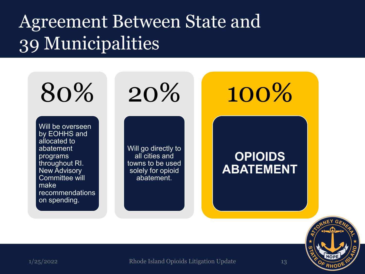#### Agreement Between State and 39 Municipalities

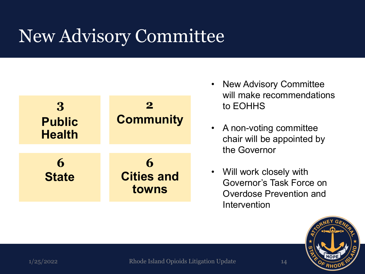### New Advisory Committee



- New Advisory Committee will make recommendations to EOHHS
- A non-voting committee chair will be appointed by the Governor
- Will work closely with Governor's Task Force on Overdose Prevention and Intervention

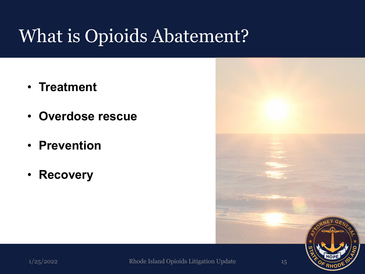### What is Opioids Abatement?

- **Treatment**
- **Overdose rescue**
- **Prevention**
- **Recovery**

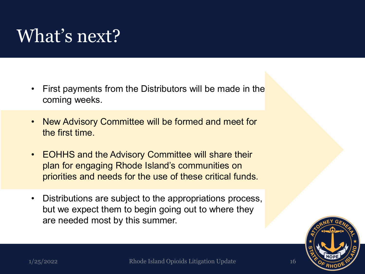#### What's next?

- First payments from the Distributors will be made in the coming weeks.
- New Advisory Committee will be formed and meet for the first time.
- EOHHS and the Advisory Committee will share their plan for engaging Rhode Island's communities on priorities and needs for the use of these critical funds.
- Distributions are subject to the appropriations process, but we expect them to begin going out to where they are needed most by this summer.